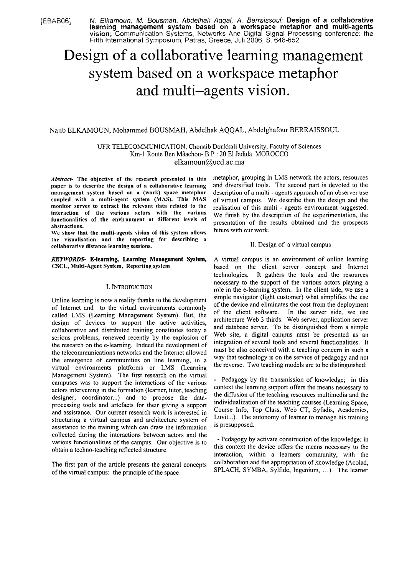[€BABOG] . N. Etkarnorrn. M. Bousmah. Abdell~ak Aclqal, A. Berraraissotrl; **Design of a collaborative** . . **learning managemerit system based on a workspace metaphor and multi-agents**  vision; Communication Systems, Networks And Digital Signal Processing conference: the Fifth International Symposium, Patras, Greece, Juli 2006, S. 648-652.

# Design of a collaborative learning management system based on a workspace metaphor and multi-agents vision.

## Najib ELKAMOUN, Mohamined BOUSMAH, Abdelhak AQQAL, Abdelghafour BERRAISSOUL

UFR TELECOMMUNICATION, Chouaib Doukkali University, Faculty of Sciences Km-1 Route Ben Mâachou- B.P : 20 El Jadida MOROCCO elkamoun@ucd.ac.ma

*Abstract-* The objective of the research presented in this paper is to describe the design of a collaborative learning management system based on a (work) space metaphor coupled with a multi-agent system (MAS). This MAS monitor serves to extract the relevant data related to the interaction of the various actors with the various functionalities of the environment at different levels of abstractions.

We show that the multi-agents vision of this system allows the visualisation and the reporting for describing a collaborative distance learning sessions.

Online learning is now a reality thanks to the development of Intemet and to the virtual environments commonly called LMS (Leaming Management System). But, the design of devices to support the active activities, collaborative and distributed training constitutes today a serious problems, renewed recently by the explosion of the research on the e-leaming. Indeed the developinent of the telecommunications networks and the Internet allowed the emergence of communities on line leaming, in a virtual environments platforms or LMS (Learning Management System). The first research on the virtual campuses was to support the interactions of the various actors intervening in the formation (learner, tutor, teaching designer, coordinator...) and to propose the dataprocessing tools and artefacts for their giving a support and assistance. Our current research work is interested in structuring a virtual campus and architecture system of assistance to the training which can draw the information collected during the interactions between actors and the various functionalities of the campus. Our objective is to obtain a techno-teaching reflected structure.

The first part of the article presents the general concepts of the virtual campus: the principle of the space

metaphor, grouping in LMS network the actors, resources and diversified tools. The second part is devoted to the description of a multi - agents approach of an observer use of virtual campus. We describe then the design and the realisation of this multi - agents environment suggested. We finish by the description of the experimentation, the presentation of the results obtained and the prospects future with our work.

### 11. Design of a virtual campus

KEYWORDS- E-learning, Learning Management System, A virtual campus is an environment of online leaming based on the client server concept and Internet technologies. It gathers the tools and the resources necessary to the support of the various actors playing a I. INTRODUCTION role in the e-learning system. In the client side, we use a simple navigator (light customer) what simplifies the use of the device and eliminates the cost from the deployment of the client Software. In the server side, we use architecture Web 3 thirds: Web server, application server and database server. To be distinguished from a simple Web site, a digital campus must be presented as an integration of several tools and several functionalities. It must be also conceived with a teaching concern in such a way that technology is on the service of pedagogy and not the reverse. Two teaching models are to be distinguished:

> - Pedagogy by the transmission of knowledge; in this context the learning support offers the means necessary to the difision of the teaching resources multimedia and the individualization of the teaching courses (Learning Space, Course Info, Top Class, Web CT, Syfadis, Academies, Luvit...). The autonomy of learner to manage his training is presupposed.

> - Pedagogy by activate construction of the knowledge; in this context the device offers the means necessary to the interaction, within a learners community, with the collaboration and the appropriation of knowledge (Acolad, SPLACH, SYMBA, Sylfide, Ingenium, ...). The learner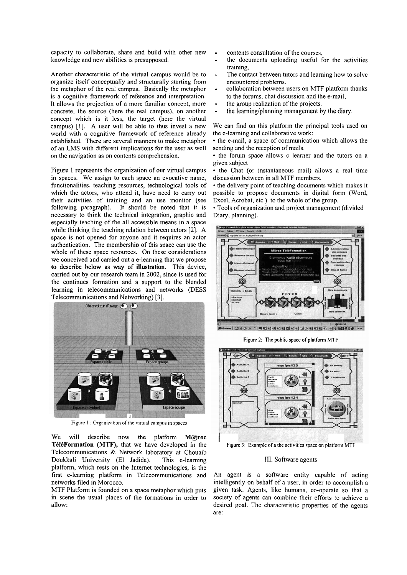capacity to collaborate, share and build with other new knowledge and new abilities is presupposed.

Another characteristic of the virtual campus would be to organize itself conceptually and structurally starting from the metaphor of the real campus. Basically the inetaphor is a cognitive framework of reference and interpretation. It allows the projection of a more familiar concept, more concrete, the source (here the real campus), on another concept which is it less, the target (here the virtual campus) [I]. A user will be able to thus invest a new world with a cognitive framework of reference already established. There are several manners to make metaphor of an LMS with different implications for the user as well on the navigation as on contents comprehension.

Figure 1 represents the organization of our virtual campus in spaces. We assign to each space an evocative name, functionalities, teaching resources, technological tools of which the actors, who attend it, have need to carry out their activities of training and an use monitor (see following paragraph). It should be noted that it is necessary to think the technical integration, graphic and especially teaching of the all accessible means in a space while thinking the teaching relation between actors [2]. A space is not opened for anyone and it requires an actor authentication. The membership of this space can use the whole of these space resources. On these considerations we conceived and carried out a e-leaming that we propose to describe below as way of illustration. This device, carried out by our research team in 2002, since is used for the continues formation and a support to the blended learning in telecommunications and networks (DESS Telecommunications and Networking) [3].



Figure  $1$ : Organization of the virtual campus in spaces

We will describe now the platform **M@roc T616Forrnation** (MTF), that we have developed in the Telecommunications & Network laboratory at Chouaib Doukkali University (EI Jadida). This e-leaming platform, which rests on the Internet technologies, is the first e-learning platform in Telecommunications and networks filed in Morocco.

MTF Platform is founded on a space metaphor which puts in Scene the usual places of the formations in order to allow:

- 
- contents consultation of the courses,<br>the documents uploading useful for the activities training,<br>The contact between tutors and learning how to solve
- encountered problems.<br>collaboration between users on MTF platform thanks
- to the forums, chat discussion and the e-mail,<br>the group realization of the projects.<br>the learning/planning management by the diary.
- 
- 

We can find on this platform the principal tools used on the e-leaming and collaborative work:

• the e-mail, a space of communication which allows the sending and the reception of mails.

• the forum space allows c learner and the tutors on a given subject

• the Chat (or instantaneous mail) allows a real time discussion between in all MTF members.

• the delivery point of teaching documents which makes it possible to propose documents in digital form (Word, Excel, Acrobat, etc.) to the whole of the group.

Tools of organization and project management (divided Diary, planning).



<u>ন| সঙ্গত -| নাথানা স্বামাতানা নাথানা স্বাস্থ্যসংখ্যক</u>

Figurc 2: Thc public space of platform MTF



Figure 3: Example of a the activities space on platform MTF

#### 111. Software agents

An agent is a software entity capable of acting intelligently on behalf of a user, in order to accomplish a given task. Agents, like humans, CO-operate so that a society of agents can combine their efforts to achieve a desired goal. The characteristic properties of the agents are: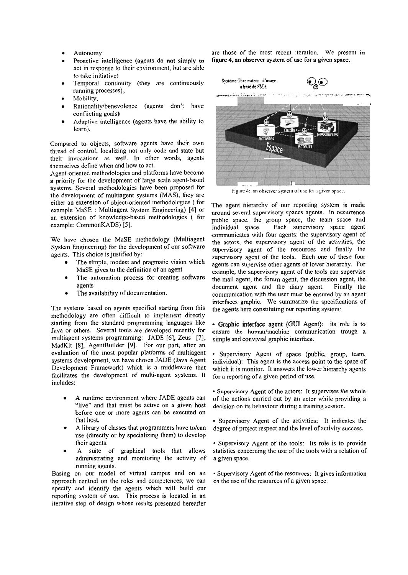- Autonomy
- Proactive intelligence (agents do not simply to act in response to their environment, but are able to take initiative)
- Temporal continuity (they are continuously running processes),
- Mobility,
- Rationality/benevolence (agents don't have conflicting goals)
- Adaptive intelligence (agents have the ability to  $\bullet$ learn).

Compared to objects, software agents have their own thread of control, localizing not only code and state but their invocations as well. In other words, agents themselves define when and how to act.

Agent-oriented methodologies and platforms have become a priority for the development of large scale agent-based systems. Several methodologies have been proposed for the development of multiagent systems (MAS), they are either an extension of object-oriented methodologies (for example MaSE : Multiagent System Engineering) [4] or an extension of knowledge-based methodologies ( for example: CommonKADS) [5].

We have chosen the MaSE methodology (Multiagent System Engineering) for the development of our software agents. This choice is justified by:

- The simple, modest and pragmatic vision which MaSE gives to the definition of an agent
- The automation process for creating software agents
- The availability of documentation.

The systems based on agents specified starting from this methodology are often difficult to implement directly starting from the standard programming languages like Java or others. Several tools are developed recently for multiagent systems programming: JADE [6], Zeus [7], MadKit [8], AgentBuilder [9]. For our part, after an evaluation of the most popular platforms of multiagent systems development, we have chosen JADE (Java Agent Development Framework) which is a middleware that facilitates the development of multi-agent systems. It includes:

- A runtime environment where JADE agents can "live" and that must be active on a given host before one or more agents can be executed on that host.
- A library of classes that programmers have to/can use (directly or by specializing them) to develop their agents.
- suite of graphical tools that allows  $\mathbf{A}$ administrating and monitoring the activity of running agents.

Basing on our model of virtual campus and on an approach centred on the roles and competences, we can specify and identify the agents which will build our reporting system of use. This process is located in an iterative step of design whose results presented hereafter

are those of the most recent iteration. We present in figure 4, an observer system of use for a given space.



Figure 4: an observer system of use for a given space.

The agent hierarchy of our reporting system is made around several supervisory spaces agents. In occurrence public space, the group space, the team space and individual space. Each supervisory space agent communicates with four agents: the supervisory agent of the actors, the supervisory agent of the activities, the supervisory agent of the resources and finally the supervisory agent of the tools. Each one of these four agents can supervise other agents of lower hierarchy. For example, the supervisory agent of the tools can supervise the mail agent, the forum agent, the discussion agent, the document agent and the diary agent. Finally the communication with the user must be ensured by an agent interfaces graphic. We summarize the specifications of the agents here constituting our reporting system:

• Graphic interface agent (GUI Agent): its role is to ensure the human/machine communication trough a simple and convivial graphic interface.

· Supervisory Agent of space (public, group, team, individual): This agent is the access point to the space of which it is monitor. It answers the lower hierarchy agents for a reporting of a given period of use.

- Supervisory Agent of the actors: It supervises the whole of the actions carried out by an actor while providing a decision on its behaviour during a training session.
- · Supervisory Agent of the activities: It indicates the degree of project respect and the level of activity success.
- Supervisory Agent of the tools: Its role is to provide statistics concerning the use of the tools with a relation of a given space.
- Supervisory Agent of the resources: It gives information on the use of the resources of a given space.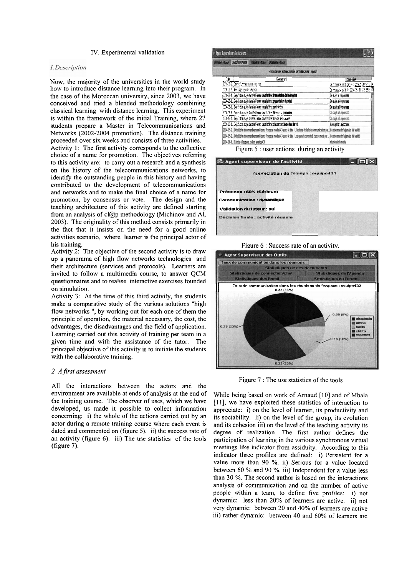### IV. Experiinental validation

#### 1.Description

Now, the majority of the universities in the world study how to introduce distance learning into their program. In the case of the Moroccan university, since 2003, we have conceived and tried a blended methodology combining classical learning with distance learning. This experiment is within the framework of the initial Training, where 27 students prepare a Master in Telecommunications and Networks (2002-2004 promotion). The distance training proceeded over six weeks and consists of three activities.

Activity 1: The first activity corresponds to the collective choice of a name for promotion. The objectives referring to this activity are: to carry out a research and a synthesis on the history of the telecominunications networks, to identify the outstanding people in this history and having contributed to the development of telecommunications and networks and to make the final choice of a name for promotion, by consensus or vote. The design and the teaching architecture of this activity are defined starting from an analysis of cl@p methodology (Michinov and Al, 2003). The originality of this inethod consists primarily in the fact that it insists on the need for a good online activities scenario, where learner is the principal actor of his training.

Activity 2: The objective of the second activity is to draw up a Panorama of high flow networks technologies and their architecture (Services and protocols). Learners are invited to follow a multimedia course, to answer QCM questionnaires and to realise interactive exercises founded on simulation.

Activity 3: At the time of this third activity, the students make a comparative study of the various solutions "high flow networks ", by working out for each one of them the principle of operation, the material necessary, the cost, the advantages, the disadvantages and the field of application. Learning carried out this activity of training per team in a given time and with the assistance of the tutor. The principal objective of this activity is to initiate the students with the collaborative training.

#### 2 *Afirst assessmen!*

All the interactions between the actors and the environment are available at ends of analysis at the end of the training course. The observer of uses, which we have developed, us made it possible to collect information concerning: i) the whole of the actions carried out by an actor during a remote training course where each event is dated and commented on (figure 5). ii) the success rate of an activity (figure 6). iii) The use statistics of the tools (figure **7).** 

|                                                                                                                                                            |                                                                                                                  | Francise Phase Deutsine Phase Traisière Phase Guatriene Phase |                                                                                 |                                         |
|------------------------------------------------------------------------------------------------------------------------------------------------------------|------------------------------------------------------------------------------------------------------------------|---------------------------------------------------------------|---------------------------------------------------------------------------------|-----------------------------------------|
|                                                                                                                                                            |                                                                                                                  |                                                               | Ensemble des actions menés par l'utilisateur : elgouzi                          |                                         |
| ſde                                                                                                                                                        |                                                                                                                  |                                                               | Feneren                                                                         | <b>Discriminal</b>                      |
| 204057, ENTIMATTERSEE BY 18                                                                                                                                |                                                                                                                  |                                                               |                                                                                 | Cemessa west lacer Poughe (1,149-16) in |
|                                                                                                                                                            | 20452, Mesgergie egsp                                                                                            | Corressioneship 304-3410-14556 lill                           |                                                                                 |                                         |
|                                                                                                                                                            | 2014-15-2 Depth dan sejetidary is Forum sous le Bire : Presentation de l'entreprise                              | Ce suela Tenneses                                             |                                                                                 |                                         |
| 2004 E6 2. Discit Can suid dass le Faron sous le fire : presentable du suisi                                                                               |                                                                                                                  |                                                               |                                                                                 | <b>Cesada Teorisis</b>                  |
| 1794/52. Depind on suit dans le forum stus le file : contraintes                                                                                           |                                                                                                                  |                                                               |                                                                                 | Ce suiet a 0 réponses                   |
| 2014 (S.2. Décôchin systéers le Forum sous le titre them de la promotion                                                                                   |                                                                                                                  |                                                               |                                                                                 | Ce suiet a 0 reponses                   |
| 2004-05-2. Depition says faces to Forme sous to face this face desistances                                                                                 |                                                                                                                  |                                                               |                                                                                 | Ce suiet a 0 réponses                   |
|                                                                                                                                                            |                                                                                                                  |                                                               | 2004.05.2. Die heter seinigers is Forum saas is Sire etwasservanimidael de fil. | Ce suid a Creatises                     |
| 2004-05-2. Dépôt d'un document versionit dans l'espace modube43 sous le titre : L'histoire de la lelecommunication par. (Ce document n'a jamais été validé |                                                                                                                  |                                                               |                                                                                 |                                         |
|                                                                                                                                                            | 2004-05-2. Dépôt d'un document version0 dans l'espace module43 sous le tite : Les grands savants& classement par | Ce document n'a jamais été vainté                             |                                                                                 |                                         |
|                                                                                                                                                            | 2004-06-1. Entrée à l'espace salon equipe431                                                                     | reance informate                                              |                                                                                 |                                         |

Agent superviseur de l'activité  $\Box$  $\Box$  $\times$ **Appréciation de l'équipe : equipe431** résence : 60% (Sérieux) **Communication : dynamique Validation du tuteur : oul** Décision finale : activité réussie I

Figure 6 : Success rate of an activity.



Figure 7 : The use statistics of the tools

While being based on work of Arnaud [10] and of Mbala [11], we have exploited these statistics of interaction to appreciate: i) on the level of learner, its productivity and its sociability. ii) on the level of the group, its evolution and its cohesion iii) on the level of the teaching activity its degree of realization. The first author defines the participation of learning in the various synchronous virtual meetings like indicator from assiduity. According to this indicator three profiles are defined: i) Persistent for a value more than 90 %. ii) Serious for a value located between 60 % and 90 %. iii) Independent for a value less than 30 %. The second author is based on the interactions analysis of communication and on the number of active people within a team, to define five profiles: i) not dynamic: less than 20% of learners are active. ii) not very dynamic: between 20 and 40% of leamers are active iii) rather dynamic: between 40 and 60% of leamers are